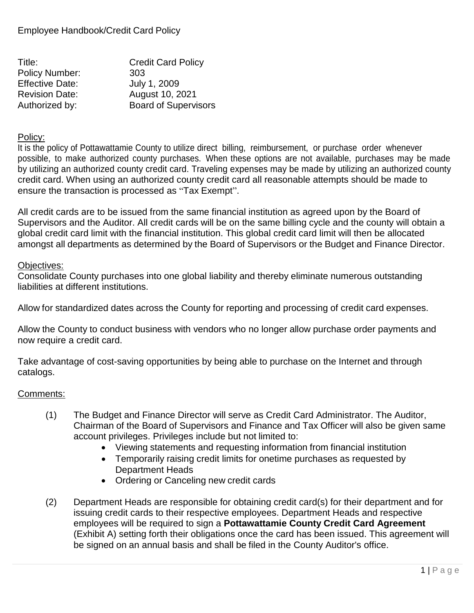| Title:                 | <b>Credit Card Policy</b>   |
|------------------------|-----------------------------|
| <b>Policy Number:</b>  | 303                         |
| <b>Effective Date:</b> | July 1, 2009                |
| <b>Revision Date:</b>  | August 10, 2021             |
| Authorized by:         | <b>Board of Supervisors</b> |

#### Policy:

It is the policy of Pottawattamie County to utilize direct billing, reimbursement, or purchase order whenever possible, to make authorized county purchases. When these options are not available, purchases may be made by utilizing an authorized county credit card. Traveling expenses may be made by utilizing an authorized county credit card. When using an authorized county credit card all reasonable attempts should be made to ensure the transaction is processed as "Tax Exempt".

All credit cards are to be issued from the same financial institution as agreed upon by the Board of Supervisors and the Auditor. All credit cards will be on the same billing cycle and the county will obtain a global credit card limit with the financial institution. This global credit card limit will then be allocated amongst all departments as determined by the Board of Supervisors or the Budget and Finance Director.

#### Objectives:

Consolidate County purchases into one global liability and thereby eliminate numerous outstanding liabilities at different institutions.

Allow for standardized dates across the County for reporting and processing of credit card expenses.

Allow the County to conduct business with vendors who no longer allow purchase order payments and now require a credit card.

Take advantage of cost-saving opportunities by being able to purchase on the Internet and through catalogs.

### Comments:

- (1) The Budget and Finance Director will serve as Credit Card Administrator. The Auditor, Chairman of the Board of Supervisors and Finance and Tax Officer will also be given same account privileges. Privileges include but not limited to:
	- Viewing statements and requesting information from financial institution
	- Temporarily raising credit limits for onetime purchases as requested by Department Heads
	- Ordering or Canceling new credit cards
- (2) Department Heads are responsible for obtaining credit card(s) for their department and for issuing credit cards to their respective employees. Department Heads and respective employees will be required to sign a **Pottawattamie County Credit Card Agreement** (Exhibit A) setting forth their obligations once the card has been issued. This agreement will be signed on an annual basis and shall be filed in the County Auditor's office.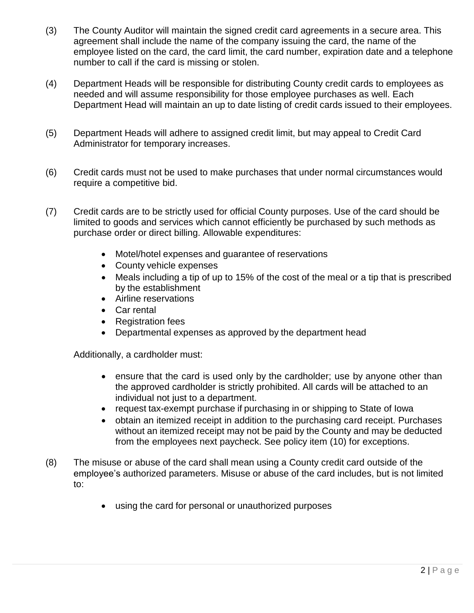- (3) The County Auditor will maintain the signed credit card agreements in a secure area. This agreement shall include the name of the company issuing the card, the name of the employee listed on the card, the card limit, the card number, expiration date and a telephone number to call if the card is missing or stolen.
- (4) Department Heads will be responsible for distributing County credit cards to employees as needed and will assume responsibility for those employee purchases as well. Each Department Head will maintain an up to date listing of credit cards issued to their employees.
- (5) Department Heads will adhere to assigned credit limit, but may appeal to Credit Card Administrator for temporary increases.
- (6) Credit cards must not be used to make purchases that under normal circumstances would require a competitive bid.
- (7) Credit cards are to be strictly used for official County purposes. Use of the card should be limited to goods and services which cannot efficiently be purchased by such methods as purchase order or direct billing. Allowable expenditures:
	- Motel/hotel expenses and guarantee of reservations
	- County vehicle expenses
	- Meals including a tip of up to 15% of the cost of the meal or a tip that is prescribed by the establishment
	- Airline reservations
	- Car rental
	- Registration fees
	- Departmental expenses as approved by the department head

Additionally, a cardholder must:

- ensure that the card is used only by the cardholder; use by anyone other than the approved cardholder is strictly prohibited. All cards will be attached to an individual not just to a department.
- request tax-exempt purchase if purchasing in or shipping to State of Iowa
- obtain an itemized receipt in addition to the purchasing card receipt. Purchases without an itemized receipt may not be paid by the County and may be deducted from the employees next paycheck. See policy item (10) for exceptions.
- (8) The misuse or abuse of the card shall mean using a County credit card outside of the employee's authorized parameters. Misuse or abuse of the card includes, but is not limited to:
	- using the card for personal or unauthorized purposes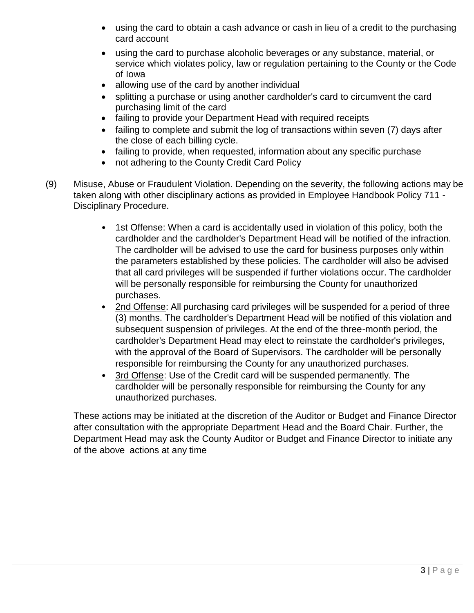- using the card to obtain a cash advance or cash in lieu of a credit to the purchasing card account
- using the card to purchase alcoholic beverages or any substance, material, or service which violates policy, law or regulation pertaining to the County or the Code of Iowa
- allowing use of the card by another individual
- splitting a purchase or using another cardholder's card to circumvent the card purchasing limit of the card
- failing to provide your Department Head with required receipts
- failing to complete and submit the log of transactions within seven (7) days after the close of each billing cycle.
- failing to provide, when requested, information about any specific purchase
- not adhering to the County Credit Card Policy
- (9) Misuse, Abuse or Fraudulent Violation. Depending on the severity, the following actions may be taken along with other disciplinary actions as provided in Employee Handbook Policy 711 - Disciplinary Procedure.
	- 1st Offense: When a card is accidentally used in violation of this policy, both the cardholder and the cardholder's Department Head will be notified of the infraction. The cardholder will be advised to use the card for business purposes only within the parameters established by these policies. The cardholder will also be advised that all card privileges will be suspended if further violations occur. The cardholder will be personally responsible for reimbursing the County for unauthorized purchases.
	- 2nd Offense: All purchasing card privileges will be suspended for a period of three (3) months. The cardholder's Department Head will be notified of this violation and subsequent suspension of privileges. At the end of the three-month period, the cardholder's Department Head may elect to reinstate the cardholder's privileges, with the approval of the Board of Supervisors. The cardholder will be personally responsible for reimbursing the County for any unauthorized purchases.
	- 3rd Offense: Use of the Credit card will be suspended permanently. The cardholder will be personally responsible for reimbursing the County for any unauthorized purchases.

These actions may be initiated at the discretion of the Auditor or Budget and Finance Director after consultation with the appropriate Department Head and the Board Chair. Further, the Department Head may ask the County Auditor or Budget and Finance Director to initiate any of the above actions at any time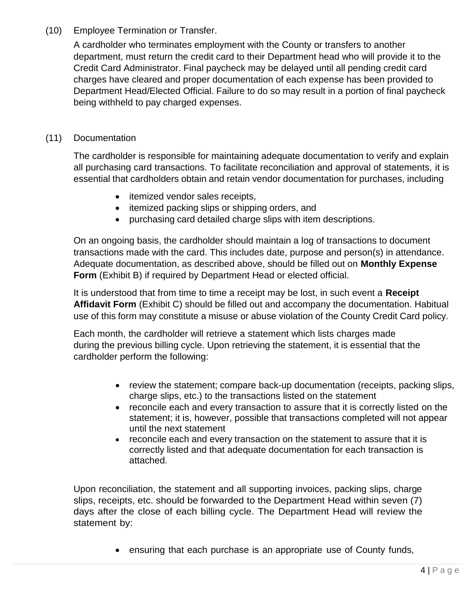# (10) Employee Termination or Transfer.

A cardholder who terminates employment with the County or transfers to another department, must return the credit card to their Department head who will provide it to the Credit Card Administrator. Final paycheck may be delayed until all pending credit card charges have cleared and proper documentation of each expense has been provided to Department Head/Elected Official. Failure to do so may result in a portion of final paycheck being withheld to pay charged expenses.

## (11) Documentation

The cardholder is responsible for maintaining adequate documentation to verify and explain all purchasing card transactions. To facilitate reconciliation and approval of statements, it is essential that cardholders obtain and retain vendor documentation for purchases, including

- itemized vendor sales receipts,
- itemized packing slips or shipping orders, and
- purchasing card detailed charge slips with item descriptions.

On an ongoing basis, the cardholder should maintain a log of transactions to document transactions made with the card. This includes date, purpose and person(s) in attendance. Adequate documentation, as described above, should be filled out on **Monthly Expense Form** (Exhibit B) if required by Department Head or elected official.

It is understood that from time to time a receipt may be lost, in such event a **Receipt Affidavit Form** (Exhibit C) should be filled out and accompany the documentation. Habitual use of this form may constitute a misuse or abuse violation of the County Credit Card policy.

Each month, the cardholder will retrieve a statement which lists charges made during the previous billing cycle. Upon retrieving the statement, it is essential that the cardholder perform the following:

- review the statement; compare back-up documentation (receipts, packing slips, charge slips, etc.) to the transactions listed on the statement
- reconcile each and every transaction to assure that it is correctly listed on the statement; it is, however, possible that transactions completed will not appear until the next statement
- reconcile each and every transaction on the statement to assure that it is correctly listed and that adequate documentation for each transaction is attached.

Upon reconciliation, the statement and all supporting invoices, packing slips, charge slips, receipts, etc. should be forwarded to the Department Head within seven (7) days after the close of each billing cycle. The Department Head will review the statement by:

• ensuring that each purchase is an appropriate use of County funds,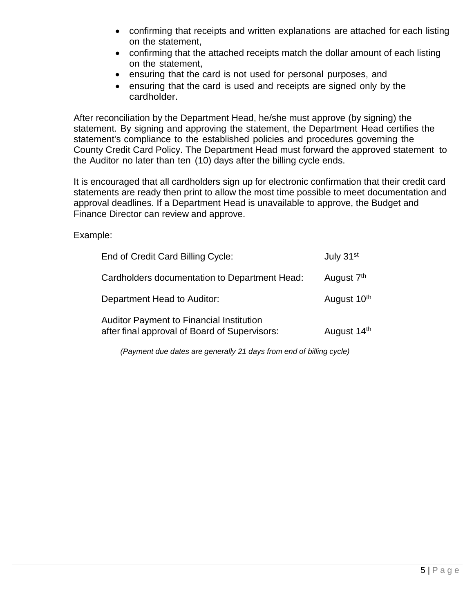- confirming that receipts and written explanations are attached for each listing on the statement,
- confirming that the attached receipts match the dollar amount of each listing on the statement,
- ensuring that the card is not used for personal purposes, and
- ensuring that the card is used and receipts are signed only by the cardholder.

After reconciliation by the Department Head, he/she must approve (by signing) the statement. By signing and approving the statement, the Department Head certifies the statement's compliance to the established policies and procedures governing the County Credit Card Policy. The Department Head must forward the approved statement to the Auditor no later than ten (10) days after the billing cycle ends.

It is encouraged that all cardholders sign up for electronic confirmation that their credit card statements are ready then print to allow the most time possible to meet documentation and approval deadlines. If a Department Head is unavailable to approve, the Budget and Finance Director can review and approve.

Example:

| End of Credit Card Billing Cycle:                                                                | July 31 <sup>st</sup>   |
|--------------------------------------------------------------------------------------------------|-------------------------|
| Cardholders documentation to Department Head:                                                    | August 7 <sup>th</sup>  |
| Department Head to Auditor:                                                                      | August 10 <sup>th</sup> |
| <b>Auditor Payment to Financial Institution</b><br>after final approval of Board of Supervisors: | August 14th             |

*(Payment due dates are generally 21 days from end of billing cycle)*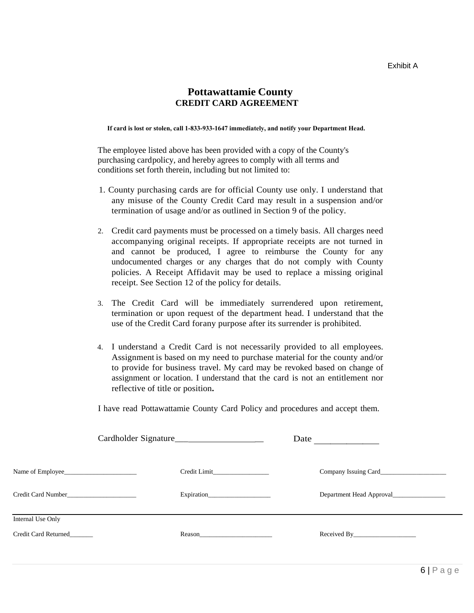#### **Pottawattamie County CREDIT CARD AGREEMENT**

**If card is lost or stolen, call 1-833-933-1647 immediately, and notify your Department Head.**

The employee listed above has been provided with a copy of the County's purchasing cardpolicy, and hereby agrees to comply with all terms and conditions set forth therein, including but not limited to:

- 1. County purchasing cards are for official County use only. I understand that any misuse of the County Credit Card may result in a suspension and/or termination of usage and/or as outlined in Section 9 of the policy.
- 2. Credit card payments must be processed on a timely basis. All charges need accompanying original receipts. If appropriate receipts are not turned in and cannot be produced, I agree to reimburse the County for any undocumented charges or any charges that do not comply with County policies. A Receipt Affidavit may be used to replace a missing original receipt. See Section 12 of the policy for details.
- 3. The Credit Card will be immediately surrendered upon retirement, termination or upon request of the department head. I understand that the use of the Credit Card forany purpose after its surrender is prohibited.
- 4. I understand a Credit Card is not necessarily provided to all employees. Assignment is based on my need to purchase material for the county and/or to provide for business travel. My card may be revoked based on change of assignment or location. I understand that the card is not an entitlement nor reflective of title or position**.**

I have read Pottawattamie County Card Policy and procedures and accept them.

|                      |              | Date                                     |
|----------------------|--------------|------------------------------------------|
|                      | Credit Limit |                                          |
| Credit Card Number   |              | Department Head Approval________________ |
| Internal Use Only    |              |                                          |
| Credit Card Returned |              |                                          |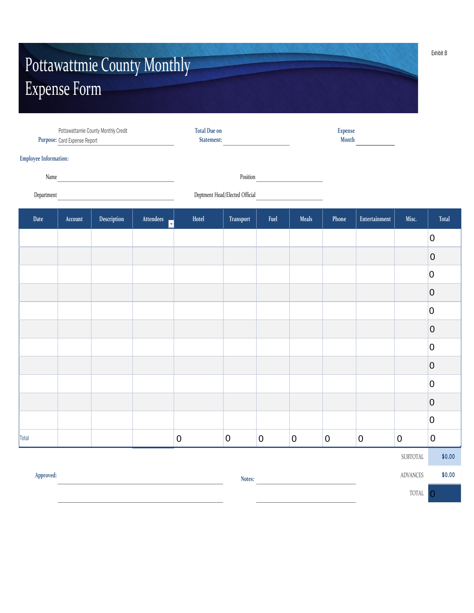# Pottawattmie County Monthly Expense Form

|                              | Purpose: Card Expense Report | Pottawattamie County Monthly Credit                   |                                     | <b>Total Due on</b><br>Statement: |           | <b>Expense</b><br>Month |                                                                                                                                                                        |           |                  |                  |                  |
|------------------------------|------------------------------|-------------------------------------------------------|-------------------------------------|-----------------------------------|-----------|-------------------------|------------------------------------------------------------------------------------------------------------------------------------------------------------------------|-----------|------------------|------------------|------------------|
| <b>Employee Information:</b> |                              |                                                       |                                     |                                   |           |                         |                                                                                                                                                                        |           |                  |                  |                  |
|                              |                              |                                                       |                                     |                                   |           |                         | Position                                                                                                                                                               |           |                  |                  |                  |
| Department                   |                              | <u> 1989 - Johann Stein, fransk politik (d. 1989)</u> |                                     |                                   |           |                         | Deptment Head/Elected Official<br><u>Letter and the substantial</u>                                                                                                    |           |                  |                  |                  |
| Date                         | Account                      | Description                                           | Attendees<br>$\overline{\mathbf v}$ | Hotel                             | Transport | Fuel                    | <b>Meals</b>                                                                                                                                                           | Phone     | Entertainment    | Misc.            | <b>Total</b>     |
|                              |                              |                                                       |                                     |                                   |           |                         |                                                                                                                                                                        |           |                  |                  | $\boldsymbol{0}$ |
|                              |                              |                                                       |                                     |                                   |           |                         |                                                                                                                                                                        |           |                  |                  | $\pmb{0}$        |
|                              |                              |                                                       |                                     |                                   |           |                         |                                                                                                                                                                        |           |                  |                  | $\overline{0}$   |
|                              |                              |                                                       |                                     |                                   |           |                         |                                                                                                                                                                        |           |                  |                  | $\overline{0}$   |
|                              |                              |                                                       |                                     |                                   |           |                         |                                                                                                                                                                        |           |                  |                  | $\overline{0}$   |
|                              |                              |                                                       |                                     |                                   |           |                         |                                                                                                                                                                        |           |                  |                  | $\boldsymbol{0}$ |
|                              |                              |                                                       |                                     |                                   |           |                         |                                                                                                                                                                        |           |                  |                  | $\overline{0}$   |
|                              |                              |                                                       |                                     |                                   |           |                         |                                                                                                                                                                        |           |                  |                  | $\overline{0}$   |
|                              |                              |                                                       |                                     |                                   |           |                         |                                                                                                                                                                        |           |                  |                  | $\overline{0}$   |
|                              |                              |                                                       |                                     |                                   |           |                         |                                                                                                                                                                        |           |                  |                  | $\overline{0}$   |
|                              |                              |                                                       |                                     |                                   |           |                         |                                                                                                                                                                        |           |                  |                  | $\overline{0}$   |
| Total                        |                              |                                                       |                                     | $\pmb{0}$                         | $\pmb{0}$ | $\boldsymbol{0}$        | $\pmb{0}$                                                                                                                                                              | $\pmb{0}$ | $\boldsymbol{0}$ | $\boldsymbol{0}$ | $\boldsymbol{0}$ |
|                              |                              |                                                       |                                     |                                   |           |                         |                                                                                                                                                                        |           |                  | SUBTOTAL         | \$0.00           |
| Approved:                    |                              |                                                       |                                     |                                   | Notes:    |                         | $\mathcal{L}^{\mathcal{L}}(\mathcal{L}^{\mathcal{L}})$ and $\mathcal{L}^{\mathcal{L}}(\mathcal{L}^{\mathcal{L}})$ . In the contract of the $\mathcal{L}^{\mathcal{L}}$ |           |                  | ADVANCES         | \$0.00           |
|                              |                              |                                                       |                                     |                                   |           |                         |                                                                                                                                                                        |           |                  | TOTAL            | $\overline{0}$   |

Exhibit B